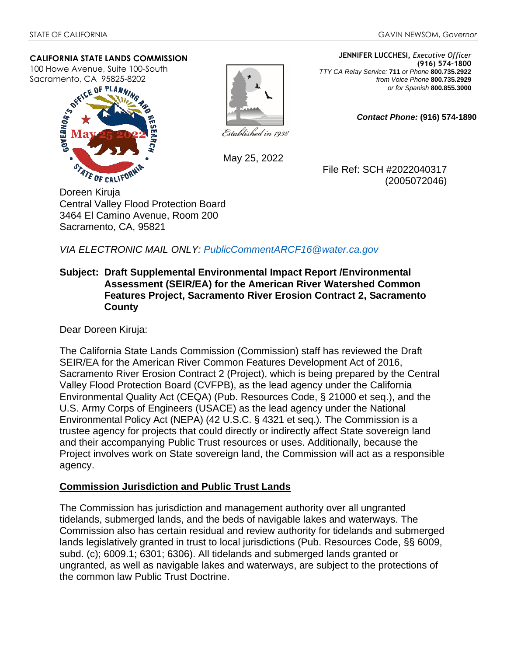#### **CALIFORNIA STATE LANDS COMMISSION**

100 Howe Avenue, Suite 100-South Sacramento, CA 95825-8202





**(916) 574-1800**  *TTY CA Relay Service:* **711** *or Phone* **800.735.2922** *from Voice Phone* **800.735.2929**  *or for Spanish* **800.855.3000**

**JENNIFER LUCCHESI,** *Executive Officer*

*Contact Phone:* **(916) 574-1890** 

Established in 1938

May 25, 2022

File Ref: SCH #2022040317 (2005072046)

Doreen Kiruja Central Valley Flood Protection Board 3464 El Camino Avenue, Room 200 Sacramento, CA, 95821

*VIA ELECTRONIC MAIL ONLY: PublicCommentARCF16@water.ca.gov*

### **Subject: Draft Supplemental Environmental Impact Report /Environmental Assessment (SEIR/EA) for the American River Watershed Common Features Project, Sacramento River Erosion Contract 2, Sacramento County**

Dear Doreen Kiruja:

The California State Lands Commission (Commission) staff has reviewed the Draft SEIR/EA for the American River Common Features Development Act of 2016, Sacramento River Erosion Contract 2 (Project), which is being prepared by the Central Valley Flood Protection Board (CVFPB), as the lead agency under the California Environmental Quality Act (CEQA) (Pub. Resources Code, § 21000 et seq.), and the U.S. Army Corps of Engineers (USACE) as the lead agency under the National Environmental Policy Act (NEPA) (42 U.S.C. § 4321 et seq.). The Commission is a trustee agency for projects that could directly or indirectly affect State sovereign land and their accompanying Public Trust resources or uses. Additionally, because the Project involves work on State sovereign land, the Commission will act as a responsible agency.

# **Commission Jurisdiction and Public Trust Lands**

The Commission has jurisdiction and management authority over all ungranted tidelands, submerged lands, and the beds of navigable lakes and waterways. The Commission also has certain residual and review authority for tidelands and submerged lands legislatively granted in trust to local jurisdictions (Pub. Resources Code, §§ 6009, subd. (c); 6009.1; 6301; 6306). All tidelands and submerged lands granted or ungranted, as well as navigable lakes and waterways, are subject to the protections of the common law Public Trust Doctrine.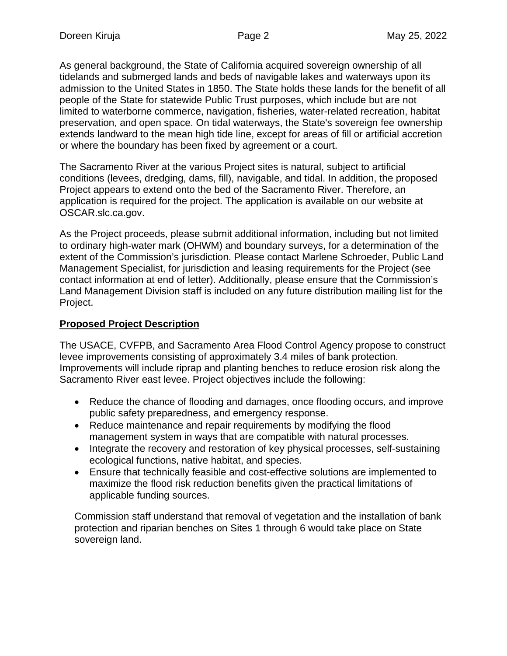As general background, the State of California acquired sovereign ownership of all tidelands and submerged lands and beds of navigable lakes and waterways upon its admission to the United States in 1850. The State holds these lands for the benefit of all people of the State for statewide Public Trust purposes, which include but are not limited to waterborne commerce, navigation, fisheries, water-related recreation, habitat preservation, and open space. On tidal waterways, the State's sovereign fee ownership extends landward to the mean high tide line, except for areas of fill or artificial accretion or where the boundary has been fixed by agreement or a court.

The Sacramento River at the various Project sites is natural, subject to artificial conditions (levees, dredging, dams, fill), navigable, and tidal. In addition, the proposed Project appears to extend onto the bed of the Sacramento River. Therefore, an application is required for the project. The application is available on our website at OSCAR.slc.ca.gov.

As the Project proceeds, please submit additional information, including but not limited to ordinary high-water mark (OHWM) and boundary surveys, for a determination of the extent of the Commission's jurisdiction. Please contact Marlene Schroeder, Public Land Management Specialist, for jurisdiction and leasing requirements for the Project (see contact information at end of letter). Additionally, please ensure that the Commission's Land Management Division staff is included on any future distribution mailing list for the Project.

## **Proposed Project Description**

The USACE, CVFPB, and Sacramento Area Flood Control Agency propose to construct levee improvements consisting of approximately 3.4 miles of bank protection. Improvements will include riprap and planting benches to reduce erosion risk along the Sacramento River east levee. Project objectives include the following:

- Reduce the chance of flooding and damages, once flooding occurs, and improve public safety preparedness, and emergency response.
- Reduce maintenance and repair requirements by modifying the flood management system in ways that are compatible with natural processes.
- Integrate the recovery and restoration of key physical processes, self-sustaining ecological functions, native habitat, and species.
- Ensure that technically feasible and cost-effective solutions are implemented to maximize the flood risk reduction benefits given the practical limitations of applicable funding sources.

Commission staff understand that removal of vegetation and the installation of bank protection and riparian benches on Sites 1 through 6 would take place on State sovereign land.